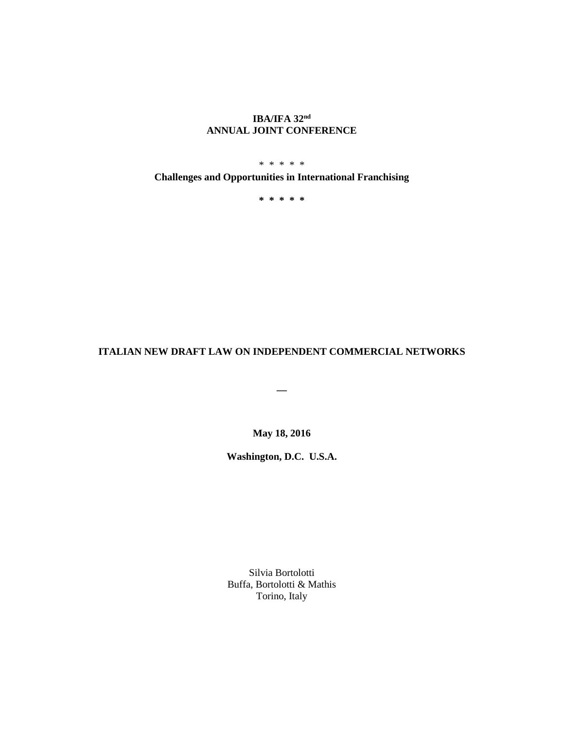# **IBA/IFA 32nd ANNUAL JOINT CONFERENCE**

\* \* \* \* \*

**Challenges and Opportunities in International Franchising**

**\* \* \* \* \***

## **ITALIAN NEW DRAFT LAW ON INDEPENDENT COMMERCIAL NETWORKS**

**\_\_**

**May 18, 2016**

**Washington, D.C. U.S.A.**

Silvia Bortolotti Buffa, Bortolotti & Mathis Torino, Italy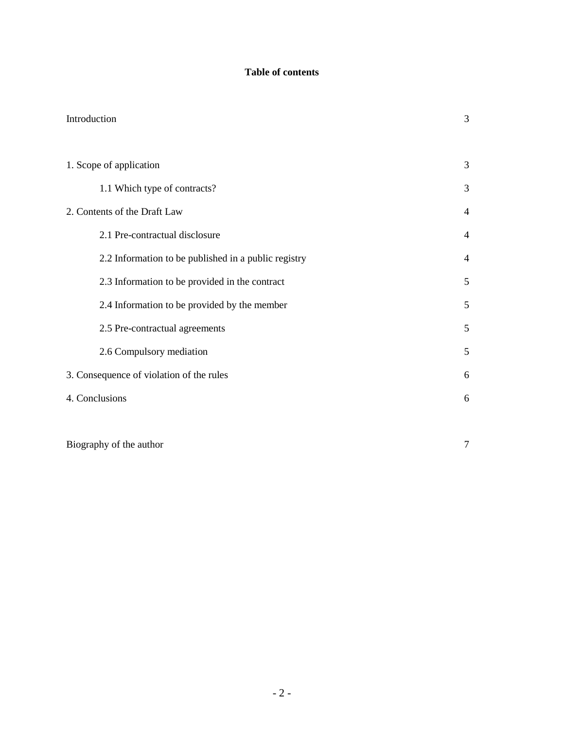# **Table of contents**

| Introduction                                         | 3              |
|------------------------------------------------------|----------------|
| 1. Scope of application                              | 3              |
| 1.1 Which type of contracts?                         | 3              |
| 2. Contents of the Draft Law                         | $\overline{4}$ |
| 2.1 Pre-contractual disclosure                       | $\overline{4}$ |
| 2.2 Information to be published in a public registry | $\overline{4}$ |
| 2.3 Information to be provided in the contract       | 5              |
| 2.4 Information to be provided by the member         | 5              |
| 2.5 Pre-contractual agreements                       | 5              |
| 2.6 Compulsory mediation                             | 5              |
| 3. Consequence of violation of the rules             | 6              |
| 4. Conclusions                                       | 6              |
|                                                      |                |

Biography of the author 7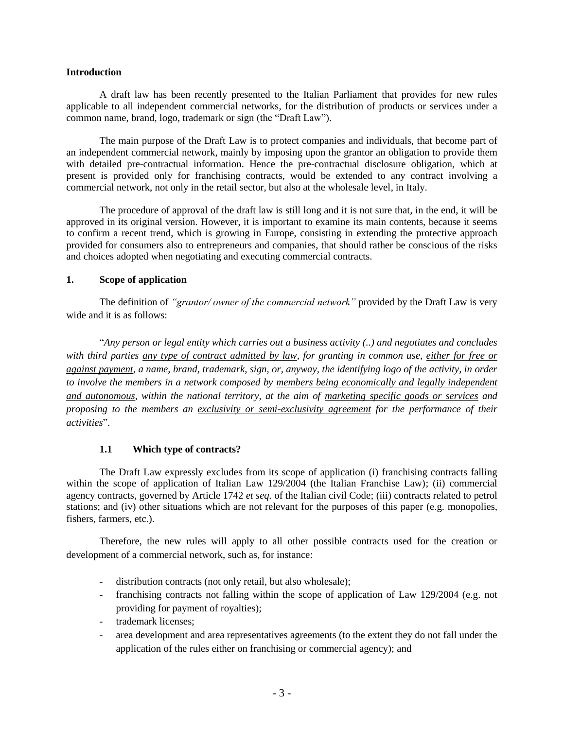#### **Introduction**

A draft law has been recently presented to the Italian Parliament that provides for new rules applicable to all independent commercial networks, for the distribution of products or services under a common name, brand, logo, trademark or sign (the "Draft Law").

The main purpose of the Draft Law is to protect companies and individuals, that become part of an independent commercial network, mainly by imposing upon the grantor an obligation to provide them with detailed pre-contractual information. Hence the pre-contractual disclosure obligation, which at present is provided only for franchising contracts, would be extended to any contract involving a commercial network, not only in the retail sector, but also at the wholesale level, in Italy.

The procedure of approval of the draft law is still long and it is not sure that, in the end, it will be approved in its original version. However, it is important to examine its main contents, because it seems to confirm a recent trend, which is growing in Europe, consisting in extending the protective approach provided for consumers also to entrepreneurs and companies, that should rather be conscious of the risks and choices adopted when negotiating and executing commercial contracts.

#### **1. Scope of application**

The definition of *"grantor/ owner of the commercial network"* provided by the Draft Law is very wide and it is as follows:

"*Any person or legal entity which carries out a business activity (..) and negotiates and concludes with third parties any type of contract admitted by law, for granting in common use, either for free or against payment, a name, brand, trademark, sign, or, anyway, the identifying logo of the activity, in order*  to involve the members in a network composed by members being economically and legally independent *and autonomous, within the national territory, at the aim of marketing specific goods or services and proposing to the members an exclusivity or semi-exclusivity agreement for the performance of their activities*".

#### **1.1 Which type of contracts?**

The Draft Law expressly excludes from its scope of application (i) franchising contracts falling within the scope of application of Italian Law 129/2004 (the Italian Franchise Law); (ii) commercial agency contracts, governed by Article 1742 *et seq.* of the Italian civil Code; (iii) contracts related to petrol stations; and (iv) other situations which are not relevant for the purposes of this paper (e.g. monopolies, fishers, farmers, etc.).

Therefore, the new rules will apply to all other possible contracts used for the creation or development of a commercial network, such as, for instance:

- distribution contracts (not only retail, but also wholesale);
- franchising contracts not falling within the scope of application of Law 129/2004 (e.g. not providing for payment of royalties);
- trademark licenses;
- area development and area representatives agreements (to the extent they do not fall under the application of the rules either on franchising or commercial agency); and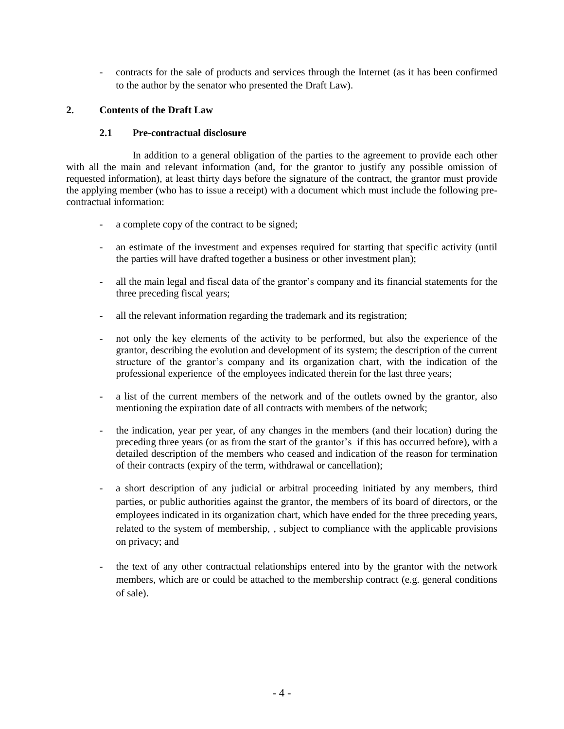- contracts for the sale of products and services through the Internet (as it has been confirmed to the author by the senator who presented the Draft Law).

## **2. Contents of the Draft Law**

## **2.1 Pre-contractual disclosure**

In addition to a general obligation of the parties to the agreement to provide each other with all the main and relevant information (and, for the grantor to justify any possible omission of requested information), at least thirty days before the signature of the contract, the grantor must provide the applying member (who has to issue a receipt) with a document which must include the following precontractual information:

- a complete copy of the contract to be signed;
- an estimate of the investment and expenses required for starting that specific activity (until the parties will have drafted together a business or other investment plan);
- all the main legal and fiscal data of the grantor's company and its financial statements for the three preceding fiscal years;
- all the relevant information regarding the trademark and its registration;
- not only the key elements of the activity to be performed, but also the experience of the grantor, describing the evolution and development of its system; the description of the current structure of the grantor's company and its organization chart, with the indication of the professional experience of the employees indicated therein for the last three years;
- a list of the current members of the network and of the outlets owned by the grantor, also mentioning the expiration date of all contracts with members of the network;
- the indication, year per year, of any changes in the members (and their location) during the preceding three years (or as from the start of the grantor's if this has occurred before), with a detailed description of the members who ceased and indication of the reason for termination of their contracts (expiry of the term, withdrawal or cancellation);
- a short description of any judicial or arbitral proceeding initiated by any members, third parties, or public authorities against the grantor, the members of its board of directors, or the employees indicated in its organization chart, which have ended for the three preceding years, related to the system of membership, , subject to compliance with the applicable provisions on privacy; and
- the text of any other contractual relationships entered into by the grantor with the network members, which are or could be attached to the membership contract (e.g. general conditions of sale).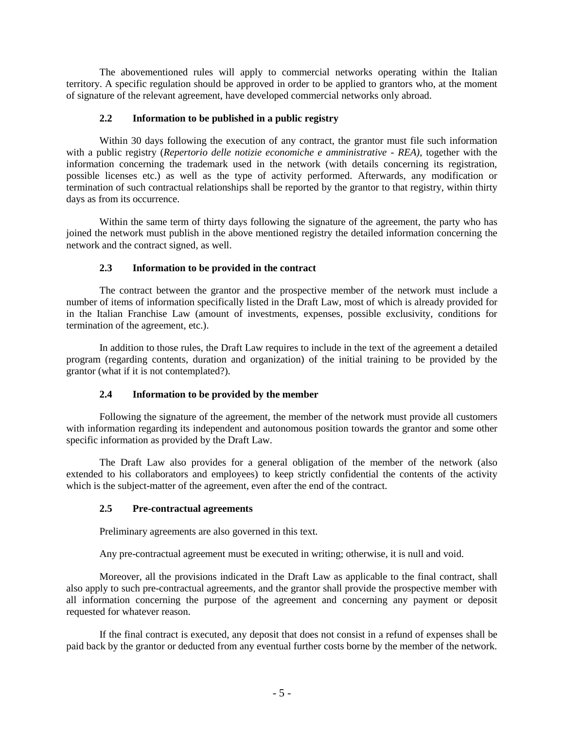The abovementioned rules will apply to commercial networks operating within the Italian territory. A specific regulation should be approved in order to be applied to grantors who, at the moment of signature of the relevant agreement, have developed commercial networks only abroad.

## **2.2 Information to be published in a public registry**

Within 30 days following the execution of any contract, the grantor must file such information with a public registry (*Repertorio delle notizie economiche e amministrative - REA),* together with the information concerning the trademark used in the network (with details concerning its registration, possible licenses etc.) as well as the type of activity performed. Afterwards, any modification or termination of such contractual relationships shall be reported by the grantor to that registry, within thirty days as from its occurrence.

Within the same term of thirty days following the signature of the agreement, the party who has joined the network must publish in the above mentioned registry the detailed information concerning the network and the contract signed, as well.

## **2.3 Information to be provided in the contract**

The contract between the grantor and the prospective member of the network must include a number of items of information specifically listed in the Draft Law, most of which is already provided for in the Italian Franchise Law (amount of investments, expenses, possible exclusivity, conditions for termination of the agreement, etc.).

In addition to those rules, the Draft Law requires to include in the text of the agreement a detailed program (regarding contents, duration and organization) of the initial training to be provided by the grantor (what if it is not contemplated?).

#### **2.4 Information to be provided by the member**

Following the signature of the agreement, the member of the network must provide all customers with information regarding its independent and autonomous position towards the grantor and some other specific information as provided by the Draft Law.

The Draft Law also provides for a general obligation of the member of the network (also extended to his collaborators and employees) to keep strictly confidential the contents of the activity which is the subject-matter of the agreement, even after the end of the contract.

## **2.5 Pre-contractual agreements**

Preliminary agreements are also governed in this text.

Any pre-contractual agreement must be executed in writing; otherwise, it is null and void.

Moreover, all the provisions indicated in the Draft Law as applicable to the final contract, shall also apply to such pre-contractual agreements, and the grantor shall provide the prospective member with all information concerning the purpose of the agreement and concerning any payment or deposit requested for whatever reason.

If the final contract is executed, any deposit that does not consist in a refund of expenses shall be paid back by the grantor or deducted from any eventual further costs borne by the member of the network.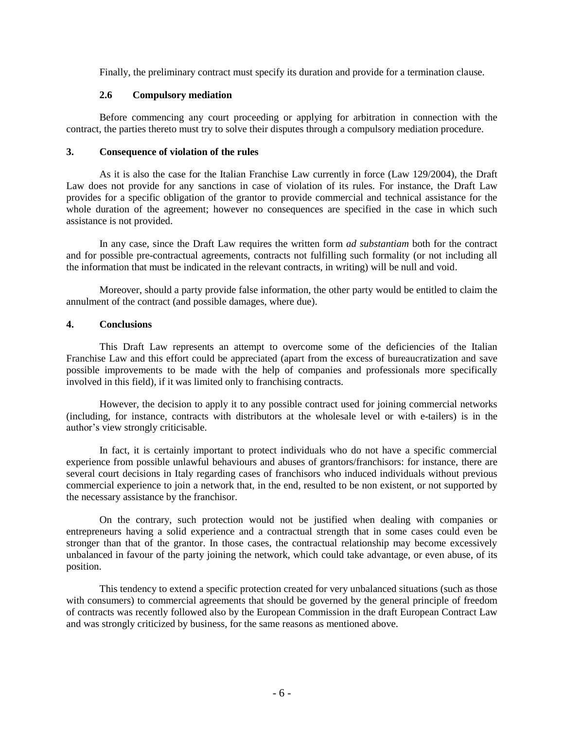Finally, the preliminary contract must specify its duration and provide for a termination clause.

#### **2.6 Compulsory mediation**

Before commencing any court proceeding or applying for arbitration in connection with the contract, the parties thereto must try to solve their disputes through a compulsory mediation procedure.

#### **3. Consequence of violation of the rules**

As it is also the case for the Italian Franchise Law currently in force (Law 129/2004), the Draft Law does not provide for any sanctions in case of violation of its rules. For instance, the Draft Law provides for a specific obligation of the grantor to provide commercial and technical assistance for the whole duration of the agreement; however no consequences are specified in the case in which such assistance is not provided.

In any case, since the Draft Law requires the written form *ad substantiam* both for the contract and for possible pre-contractual agreements, contracts not fulfilling such formality (or not including all the information that must be indicated in the relevant contracts, in writing) will be null and void.

Moreover, should a party provide false information, the other party would be entitled to claim the annulment of the contract (and possible damages, where due).

#### **4. Conclusions**

This Draft Law represents an attempt to overcome some of the deficiencies of the Italian Franchise Law and this effort could be appreciated (apart from the excess of bureaucratization and save possible improvements to be made with the help of companies and professionals more specifically involved in this field), if it was limited only to franchising contracts.

However, the decision to apply it to any possible contract used for joining commercial networks (including, for instance, contracts with distributors at the wholesale level or with e-tailers) is in the author's view strongly criticisable.

In fact, it is certainly important to protect individuals who do not have a specific commercial experience from possible unlawful behaviours and abuses of grantors/franchisors: for instance, there are several court decisions in Italy regarding cases of franchisors who induced individuals without previous commercial experience to join a network that, in the end, resulted to be non existent, or not supported by the necessary assistance by the franchisor.

On the contrary, such protection would not be justified when dealing with companies or entrepreneurs having a solid experience and a contractual strength that in some cases could even be stronger than that of the grantor. In those cases, the contractual relationship may become excessively unbalanced in favour of the party joining the network, which could take advantage, or even abuse, of its position.

This tendency to extend a specific protection created for very unbalanced situations (such as those with consumers) to commercial agreements that should be governed by the general principle of freedom of contracts was recently followed also by the European Commission in the draft European Contract Law and was strongly criticized by business, for the same reasons as mentioned above.